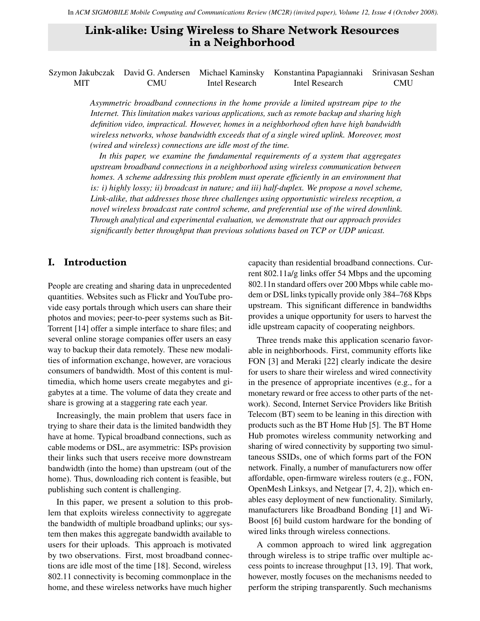# **Link-alike: Using Wireless to Share Network Resources in a Neighborhood**

Szymon Jakubczak David G. Andersen Michael Kaminsky Konstantina Papagiannaki Srinivasan Seshan MIT CMU Intel Research Intel Research CMU

> *Asymmetric broadband connections in the home provide a limited upstream pipe to the Internet. This limitation makes various applications, such as remote backup and sharing high definition video, impractical. However, homes in a neighborhood often have high bandwidth wireless networks, whose bandwidth exceeds that of a single wired uplink. Moreover, most (wired and wireless) connections are idle most of the time.*

> *In this paper, we examine the fundamental requirements of a system that aggregates upstream broadband connections in a neighborhood using wireless communication between homes. A scheme addressing this problem must operate efficiently in an environment that is: i) highly lossy; ii) broadcast in nature; and iii) half-duplex. We propose a novel scheme, Link-alike, that addresses those three challenges using opportunistic wireless reception, a novel wireless broadcast rate control scheme, and preferential use of the wired downlink. Through analytical and experimental evaluation, we demonstrate that our approach provides significantly better throughput than previous solutions based on TCP or UDP unicast.*

# <span id="page-0-0"></span>**I. Introduction**

People are creating and sharing data in unprecedented quantities. Websites such as Flickr and YouTube provide easy portals through which users can share their photos and movies; peer-to-peer systems such as Bit-Torrent [\[14\]](#page-13-0) offer a simple interface to share files; and several online storage companies offer users an easy way to backup their data remotely. These new modalities of information exchange, however, are voracious consumers of bandwidth. Most of this content is multimedia, which home users create megabytes and gigabytes at a time. The volume of data they create and share is growing at a staggering rate each year.

Increasingly, the main problem that users face in trying to share their data is the limited bandwidth they have at home. Typical broadband connections, such as cable modems or DSL, are asymmetric: ISPs provision their links such that users receive more downstream bandwidth (into the home) than upstream (out of the home). Thus, downloading rich content is feasible, but publishing such content is challenging.

In this paper, we present a solution to this problem that exploits wireless connectivity to aggregate the bandwidth of multiple broadband uplinks; our system then makes this aggregate bandwidth available to users for their uploads. This approach is motivated by two observations. First, most broadband connections are idle most of the time [\[18\]](#page-13-1). Second, wireless 802.11 connectivity is becoming commonplace in the home, and these wireless networks have much higher

capacity than residential broadband connections. Current 802.11a/g links offer 54 Mbps and the upcoming 802.11n standard offers over 200 Mbps while cable modem or DSL links typically provide only 384–768 Kbps upstream. This significant difference in bandwidths provides a unique opportunity for users to harvest the idle upstream capacity of cooperating neighbors.

Three trends make this application scenario favorable in neighborhoods. First, community efforts like FON [\[3\]](#page-13-2) and Meraki [\[22\]](#page-13-3) clearly indicate the desire for users to share their wireless and wired connectivity in the presence of appropriate incentives (e.g., for a monetary reward or free access to other parts of the network). Second, Internet Service Providers like British Telecom (BT) seem to be leaning in this direction with products such as the BT Home Hub [\[5\]](#page-13-4). The BT Home Hub promotes wireless community networking and sharing of wired connectivity by supporting two simultaneous SSIDs, one of which forms part of the FON network. Finally, a number of manufacturers now offer affordable, open-firmware wireless routers (e.g., FON, OpenMesh Linksys, and Netgear [\[7,](#page-13-5) [4,](#page-13-6) [2\]](#page-13-7)), which enables easy deployment of new functionality. Similarly, manufacturers like Broadband Bonding [\[1\]](#page-13-8) and Wi-Boost [\[6\]](#page-13-9) build custom hardware for the bonding of wired links through wireless connections.

A common approach to wired link aggregation through wireless is to stripe traffic over multiple access points to increase throughput [\[13,](#page-13-10) [19\]](#page-13-11). That work, however, mostly focuses on the mechanisms needed to perform the striping transparently. Such mechanisms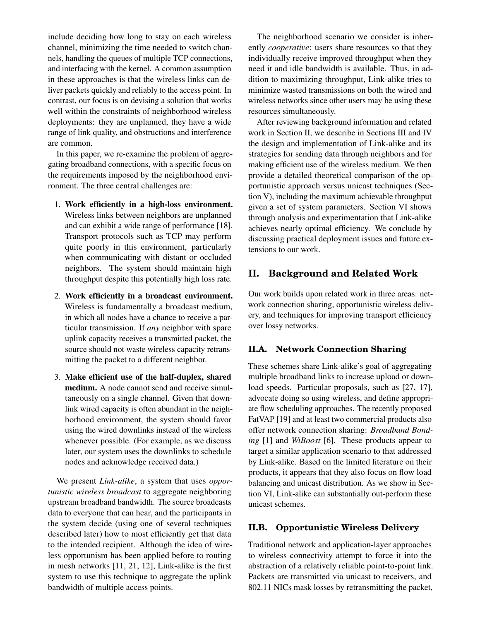include deciding how long to stay on each wireless channel, minimizing the time needed to switch channels, handling the queues of multiple TCP connections, and interfacing with the kernel. A common assumption in these approaches is that the wireless links can deliver packets quickly and reliably to the access point. In contrast, our focus is on devising a solution that works well within the constraints of neighborhood wireless deployments: they are unplanned, they have a wide range of link quality, and obstructions and interference are common.

In this paper, we re-examine the problem of aggregating broadband connections, with a specific focus on the requirements imposed by the neighborhood environment. The three central challenges are:

- 1. Work efficiently in a high-loss environment. Wireless links between neighbors are unplanned and can exhibit a wide range of performance [\[18\]](#page-13-1). Transport protocols such as TCP may perform quite poorly in this environment, particularly when communicating with distant or occluded neighbors. The system should maintain high throughput despite this potentially high loss rate.
- 2. Work efficiently in a broadcast environment. Wireless is fundamentally a broadcast medium, in which all nodes have a chance to receive a particular transmission. If *any* neighbor with spare uplink capacity receives a transmitted packet, the source should not waste wireless capacity retransmitting the packet to a different neighbor.
- 3. Make efficient use of the half-duplex, shared medium. A node cannot send and receive simultaneously on a single channel. Given that downlink wired capacity is often abundant in the neighborhood environment, the system should favor using the wired downlinks instead of the wireless whenever possible. (For example, as we discuss later, our system uses the downlinks to schedule nodes and acknowledge received data.)

We present *Link-alike*, a system that uses *opportunistic wireless broadcast* to aggregate neighboring upstream broadband bandwidth. The source broadcasts data to everyone that can hear, and the participants in the system decide (using one of several techniques described later) how to most efficiently get that data to the intended recipient. Although the idea of wireless opportunism has been applied before to routing in mesh networks [\[11,](#page-13-12) [21,](#page-13-13) [12\]](#page-13-14), Link-alike is the first system to use this technique to aggregate the uplink bandwidth of multiple access points.

The neighborhood scenario we consider is inherently *cooperative*: users share resources so that they individually receive improved throughput when they need it and idle bandwidth is available. Thus, in addition to maximizing throughput, Link-alike tries to minimize wasted transmissions on both the wired and wireless networks since other users may be using these resources simultaneously.

After reviewing background information and related work in Section [II,](#page-1-0) we describe in Sections [III](#page-2-0) and [IV](#page-6-0) the design and implementation of Link-alike and its strategies for sending data through neighbors and for making efficient use of the wireless medium. We then provide a detailed theoretical comparison of the opportunistic approach versus unicast techniques (Section [V\)](#page-7-0), including the maximum achievable throughput given a set of system parameters. Section [VI](#page-9-0) shows through analysis and experimentation that Link-alike achieves nearly optimal efficiency. We conclude by discussing practical deployment issues and future extensions to our work.

# <span id="page-1-0"></span>**II. Background and Related Work**

Our work builds upon related work in three areas: network connection sharing, opportunistic wireless delivery, and techniques for improving transport efficiency over lossy networks.

#### **II.A. Network Connection Sharing**

These schemes share Link-alike's goal of aggregating multiple broadband links to increase upload or download speeds. Particular proposals, such as [\[27,](#page-13-15) [17\]](#page-13-16), advocate doing so using wireless, and define appropriate flow scheduling approaches. The recently proposed FatVAP [\[19\]](#page-13-11) and at least two commercial products also offer network connection sharing: *Broadband Bonding* [\[1\]](#page-13-8) and *WiBoost* [\[6\]](#page-13-9). These products appear to target a similar application scenario to that addressed by Link-alike. Based on the limited literature on their products, it appears that they also focus on flow load balancing and unicast distribution. As we show in Section [VI,](#page-9-0) Link-alike can substantially out-perform these unicast schemes.

#### **II.B. Opportunistic Wireless Delivery**

Traditional network and application-layer approaches to wireless connectivity attempt to force it into the abstraction of a relatively reliable point-to-point link. Packets are transmitted via unicast to receivers, and 802.11 NICs mask losses by retransmitting the packet,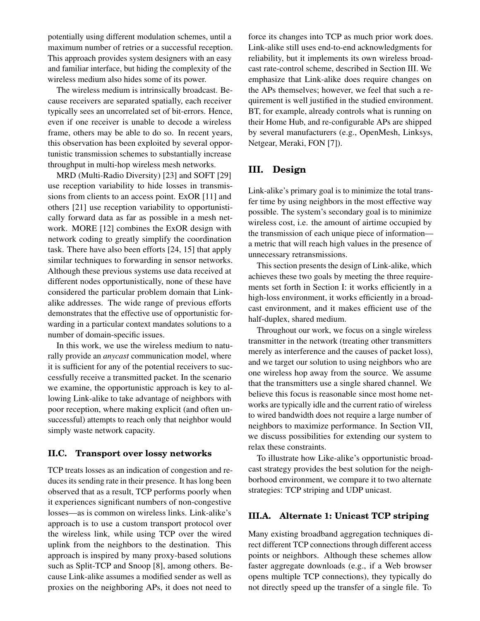potentially using different modulation schemes, until a maximum number of retries or a successful reception. This approach provides system designers with an easy and familiar interface, but hiding the complexity of the wireless medium also hides some of its power.

The wireless medium is intrinsically broadcast. Because receivers are separated spatially, each receiver typically sees an uncorrelated set of bit-errors. Hence, even if one receiver is unable to decode a wireless frame, others may be able to do so. In recent years, this observation has been exploited by several opportunistic transmission schemes to substantially increase throughput in multi-hop wireless mesh networks.

MRD (Multi-Radio Diversity) [\[23\]](#page-13-17) and SOFT [\[29\]](#page-13-18) use reception variability to hide losses in transmissions from clients to an access point. ExOR [\[11\]](#page-13-12) and others [\[21\]](#page-13-13) use reception variability to opportunistically forward data as far as possible in a mesh network. MORE [\[12\]](#page-13-14) combines the ExOR design with network coding to greatly simplify the coordination task. There have also been efforts [\[24,](#page-13-19) [15\]](#page-13-20) that apply similar techniques to forwarding in sensor networks. Although these previous systems use data received at different nodes opportunistically, none of these have considered the particular problem domain that Linkalike addresses. The wide range of previous efforts demonstrates that the effective use of opportunistic forwarding in a particular context mandates solutions to a number of domain-specific issues.

In this work, we use the wireless medium to naturally provide an *anycast* communication model, where it is sufficient for any of the potential receivers to successfully receive a transmitted packet. In the scenario we examine, the opportunistic approach is key to allowing Link-alike to take advantage of neighbors with poor reception, where making explicit (and often unsuccessful) attempts to reach only that neighbor would simply waste network capacity.

#### **II.C. Transport over lossy networks**

TCP treats losses as an indication of congestion and reduces its sending rate in their presence. It has long been observed that as a result, TCP performs poorly when it experiences significant numbers of non-congestive losses—as is common on wireless links. Link-alike's approach is to use a custom transport protocol over the wireless link, while using TCP over the wired uplink from the neighbors to the destination. This approach is inspired by many proxy-based solutions such as Split-TCP and Snoop [\[8\]](#page-13-21), among others. Because Link-alike assumes a modified sender as well as proxies on the neighboring APs, it does not need to

force its changes into TCP as much prior work does. Link-alike still uses end-to-end acknowledgments for reliability, but it implements its own wireless broadcast rate-control scheme, described in Section [III.](#page-2-0) We emphasize that Link-alike does require changes on the APs themselves; however, we feel that such a requirement is well justified in the studied environment. BT, for example, already controls what is running on their Home Hub, and re-configurable APs are shipped by several manufacturers (e.g., OpenMesh, Linksys, Netgear, Meraki, FON [\[7\]](#page-13-5)).

# <span id="page-2-0"></span>**III. Design**

Link-alike's primary goal is to minimize the total transfer time by using neighbors in the most effective way possible. The system's secondary goal is to minimize wireless cost, i.e. the amount of airtime occupied by the transmission of each unique piece of information a metric that will reach high values in the presence of unnecessary retransmissions.

This section presents the design of Link-alike, which achieves these two goals by meeting the three requirements set forth in Section [I:](#page-0-0) it works efficiently in a high-loss environment, it works efficiently in a broadcast environment, and it makes efficient use of the half-duplex, shared medium.

Throughout our work, we focus on a single wireless transmitter in the network (treating other transmitters merely as interference and the causes of packet loss), and we target our solution to using neighbors who are one wireless hop away from the source. We assume that the transmitters use a single shared channel. We believe this focus is reasonable since most home networks are typically idle and the current ratio of wireless to wired bandwidth does not require a large number of neighbors to maximize performance. In Section [VII,](#page-11-0) we discuss possibilities for extending our system to relax these constraints.

To illustrate how Like-alike's opportunistic broadcast strategy provides the best solution for the neighborhood environment, we compare it to two alternate strategies: TCP striping and UDP unicast.

#### **III.A. Alternate 1: Unicast TCP striping**

Many existing broadband aggregation techniques direct different TCP connections through different access points or neighbors. Although these schemes allow faster aggregate downloads (e.g., if a Web browser opens multiple TCP connections), they typically do not directly speed up the transfer of a single file. To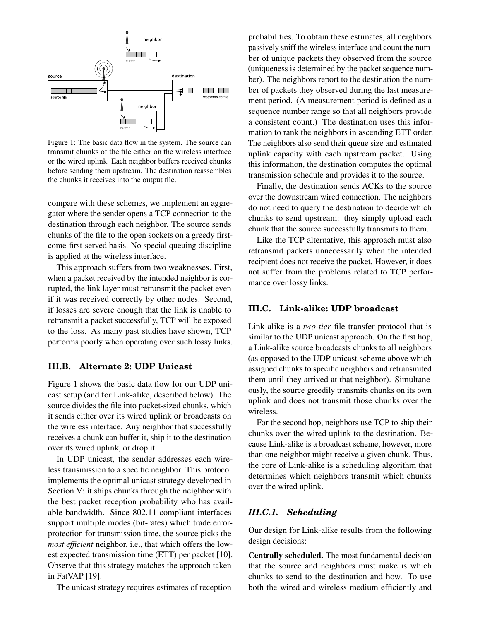

<span id="page-3-0"></span>Figure 1: The basic data flow in the system. The source can transmit chunks of the file either on the wireless interface or the wired uplink. Each neighbor buffers received chunks before sending them upstream. The destination reassembles the chunks it receives into the output file.

compare with these schemes, we implement an aggregator where the sender opens a TCP connection to the destination through each neighbor. The source sends chunks of the file to the open sockets on a greedy firstcome-first-served basis. No special queuing discipline is applied at the wireless interface.

This approach suffers from two weaknesses. First, when a packet received by the intended neighbor is corrupted, the link layer must retransmit the packet even if it was received correctly by other nodes. Second, if losses are severe enough that the link is unable to retransmit a packet successfully, TCP will be exposed to the loss. As many past studies have shown, TCP performs poorly when operating over such lossy links.

#### **III.B. Alternate 2: UDP Unicast**

Figure [1](#page-3-0) shows the basic data flow for our UDP unicast setup (and for Link-alike, described below). The source divides the file into packet-sized chunks, which it sends either over its wired uplink or broadcasts on the wireless interface. Any neighbor that successfully receives a chunk can buffer it, ship it to the destination over its wired uplink, or drop it.

In UDP unicast, the sender addresses each wireless transmission to a specific neighbor. This protocol implements the optimal unicast strategy developed in Section [V:](#page-7-0) it ships chunks through the neighbor with the best packet reception probability who has available bandwidth. Since 802.11-compliant interfaces support multiple modes (bit-rates) which trade errorprotection for transmission time, the source picks the *most efficient* neighbor, i.e., that which offers the lowest expected transmission time (ETT) per packet [\[10\]](#page-13-22). Observe that this strategy matches the approach taken in FatVAP [\[19\]](#page-13-11).

The unicast strategy requires estimates of reception

probabilities. To obtain these estimates, all neighbors passively sniff the wireless interface and count the number of unique packets they observed from the source (uniqueness is determined by the packet sequence number). The neighbors report to the destination the number of packets they observed during the last measurement period. (A measurement period is defined as a sequence number range so that all neighbors provide a consistent count.) The destination uses this information to rank the neighbors in ascending ETT order. The neighbors also send their queue size and estimated uplink capacity with each upstream packet. Using this information, the destination computes the optimal transmission schedule and provides it to the source.

Finally, the destination sends ACKs to the source over the downstream wired connection. The neighbors do not need to query the destination to decide which chunks to send upstream: they simply upload each chunk that the source successfully transmits to them.

Like the TCP alternative, this approach must also retransmit packets unnecessarily when the intended recipient does not receive the packet. However, it does not suffer from the problems related to TCP performance over lossy links.

### **III.C. Link-alike: UDP broadcast**

Link-alike is a *two-tier* file transfer protocol that is similar to the UDP unicast approach. On the first hop, a Link-alike source broadcasts chunks to all neighbors (as opposed to the UDP unicast scheme above which assigned chunks to specific neighbors and retransmited them until they arrived at that neighbor). Simultaneously, the source greedily transmits chunks on its own uplink and does not transmit those chunks over the wireless.

For the second hop, neighbors use TCP to ship their chunks over the wired uplink to the destination. Because Link-alike is a broadcast scheme, however, more than one neighbor might receive a given chunk. Thus, the core of Link-alike is a scheduling algorithm that determines which neighbors transmit which chunks over the wired uplink.

# *III.C.1. Scheduling*

Our design for Link-alike results from the following design decisions:

Centrally scheduled. The most fundamental decision that the source and neighbors must make is which chunks to send to the destination and how. To use both the wired and wireless medium efficiently and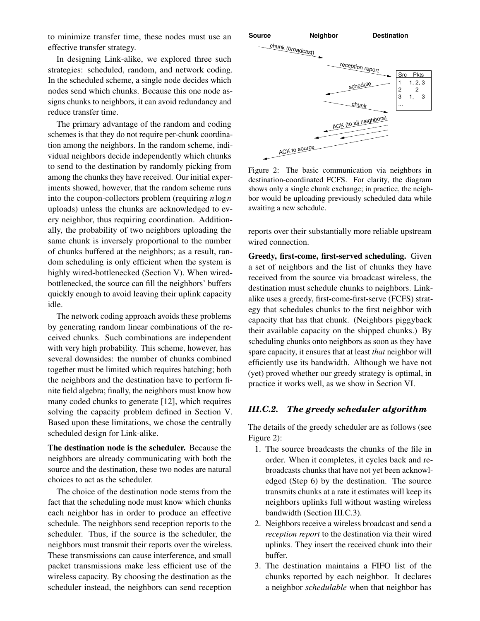to minimize transfer time, these nodes must use an effective transfer strategy.

In designing Link-alike, we explored three such strategies: scheduled, random, and network coding. In the scheduled scheme, a single node decides which nodes send which chunks. Because this one node assigns chunks to neighbors, it can avoid redundancy and reduce transfer time.

The primary advantage of the random and coding schemes is that they do not require per-chunk coordination among the neighbors. In the random scheme, individual neighbors decide independently which chunks to send to the destination by randomly picking from among the chunks they have received. Our initial experiments showed, however, that the random scheme runs into the coupon-collectors problem (requiring *n*log*n* uploads) unless the chunks are acknowledged to every neighbor, thus requiring coordination. Additionally, the probability of two neighbors uploading the same chunk is inversely proportional to the number of chunks buffered at the neighbors; as a result, random scheduling is only efficient when the system is highly wired-bottlenecked (Section [V\)](#page-7-0). When wiredbottlenecked, the source can fill the neighbors' buffers quickly enough to avoid leaving their uplink capacity idle.

The network coding approach avoids these problems by generating random linear combinations of the received chunks. Such combinations are independent with very high probability. This scheme, however, has several downsides: the number of chunks combined together must be limited which requires batching; both the neighbors and the destination have to perform finite field algebra; finally, the neighbors must know how many coded chunks to generate [\[12\]](#page-13-14), which requires solving the capacity problem defined in Section [V.](#page-7-0) Based upon these limitations, we chose the centrally scheduled design for Link-alike.

The destination node is the scheduler. Because the neighbors are already communicating with both the source and the destination, these two nodes are natural choices to act as the scheduler.

The choice of the destination node stems from the fact that the scheduling node must know which chunks each neighbor has in order to produce an effective schedule. The neighbors send reception reports to the scheduler. Thus, if the source is the scheduler, the neighbors must transmit their reports over the wireless. These transmissions can cause interference, and small packet transmissions make less efficient use of the wireless capacity. By choosing the destination as the scheduler instead, the neighbors can send reception



<span id="page-4-0"></span>Figure 2: The basic communication via neighbors in destination-coordinated FCFS. For clarity, the diagram shows only a single chunk exchange; in practice, the neighbor would be uploading previously scheduled data while awaiting a new schedule.

reports over their substantially more reliable upstream wired connection.

Greedy, first-come, first-served scheduling. Given a set of neighbors and the list of chunks they have received from the source via broadcast wireless, the destination must schedule chunks to neighbors. Linkalike uses a greedy, first-come-first-serve (FCFS) strategy that schedules chunks to the first neighbor with capacity that has that chunk. (Neighbors piggyback their available capacity on the shipped chunks.) By scheduling chunks onto neighbors as soon as they have spare capacity, it ensures that at least *that* neighbor will efficiently use its bandwidth. Although we have not (yet) proved whether our greedy strategy is optimal, in practice it works well, as we show in Section [VI.](#page-9-0)

#### *III.C.2. The greedy scheduler algorithm*

The details of the greedy scheduler are as follows (see Figure [2\)](#page-4-0):

- 1. The source broadcasts the chunks of the file in order. When it completes, it cycles back and rebroadcasts chunks that have not yet been acknowledged (Step 6) by the destination. The source transmits chunks at a rate it estimates will keep its neighbors uplinks full without wasting wireless bandwidth (Section [III.C.3\)](#page-5-0).
- 2. Neighbors receive a wireless broadcast and send a *reception report* to the destination via their wired uplinks. They insert the received chunk into their buffer.
- 3. The destination maintains a FIFO list of the chunks reported by each neighbor. It declares a neighbor *schedulable* when that neighbor has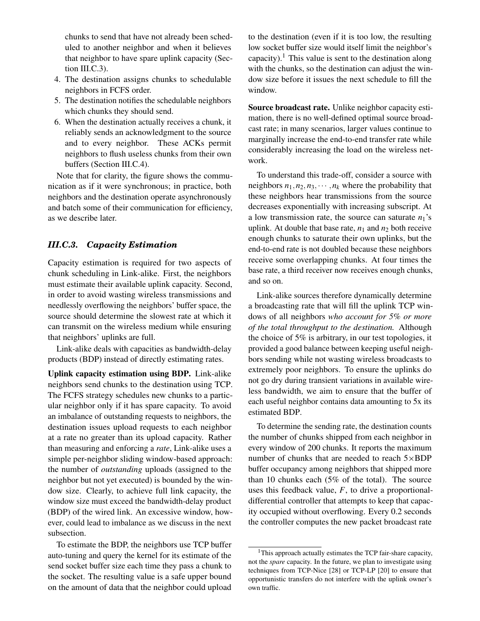chunks to send that have not already been scheduled to another neighbor and when it believes that neighbor to have spare uplink capacity (Section [III.C.3\)](#page-5-0).

- 4. The destination assigns chunks to schedulable neighbors in FCFS order.
- 5. The destination notifies the schedulable neighbors which chunks they should send.
- 6. When the destination actually receives a chunk, it reliably sends an acknowledgment to the source and to every neighbor. These ACKs permit neighbors to flush useless chunks from their own buffers (Section [III.C.4\)](#page-6-1).

Note that for clarity, the figure shows the communication as if it were synchronous; in practice, both neighbors and the destination operate asynchronously and batch some of their communication for efficiency, as we describe later.

# <span id="page-5-0"></span>*III.C.3. Capacity Estimation*

Capacity estimation is required for two aspects of chunk scheduling in Link-alike. First, the neighbors must estimate their available uplink capacity. Second, in order to avoid wasting wireless transmissions and needlessly overflowing the neighbors' buffer space, the source should determine the slowest rate at which it can transmit on the wireless medium while ensuring that neighbors' uplinks are full.

Link-alike deals with capacities as bandwidth-delay products (BDP) instead of directly estimating rates.

Uplink capacity estimation using BDP. Link-alike neighbors send chunks to the destination using TCP. The FCFS strategy schedules new chunks to a particular neighbor only if it has spare capacity. To avoid an imbalance of outstanding requests to neighbors, the destination issues upload requests to each neighbor at a rate no greater than its upload capacity. Rather than measuring and enforcing a *rate*, Link-alike uses a simple per-neighbor sliding window-based approach: the number of *outstanding* uploads (assigned to the neighbor but not yet executed) is bounded by the window size. Clearly, to achieve full link capacity, the window size must exceed the bandwidth-delay product (BDP) of the wired link. An excessive window, however, could lead to imbalance as we discuss in the next subsection.

To estimate the BDP, the neighbors use TCP buffer auto-tuning and query the kernel for its estimate of the send socket buffer size each time they pass a chunk to the socket. The resulting value is a safe upper bound on the amount of data that the neighbor could upload

to the destination (even if it is too low, the resulting low socket buffer size would itself limit the neighbor's capacity).<sup>[1](#page-5-1)</sup> This value is sent to the destination along with the chunks, so the destination can adjust the window size before it issues the next schedule to fill the window.

Source broadcast rate. Unlike neighbor capacity estimation, there is no well-defined optimal source broadcast rate; in many scenarios, larger values continue to marginally increase the end-to-end transfer rate while considerably increasing the load on the wireless network.

To understand this trade-off, consider a source with neighbors  $n_1, n_2, n_3, \cdots, n_k$  where the probability that these neighbors hear transmissions from the source decreases exponentially with increasing subscript. At a low transmission rate, the source can saturate  $n_1$ 's uplink. At double that base rate,  $n_1$  and  $n_2$  both receive enough chunks to saturate their own uplinks, but the end-to-end rate is not doubled because these neighbors receive some overlapping chunks. At four times the base rate, a third receiver now receives enough chunks, and so on.

Link-alike sources therefore dynamically determine a broadcasting rate that will fill the uplink TCP windows of all neighbors *who account for 5% or more of the total throughput to the destination.* Although the choice of 5% is arbitrary, in our test topologies, it provided a good balance between keeping useful neighbors sending while not wasting wireless broadcasts to extremely poor neighbors. To ensure the uplinks do not go dry during transient variations in available wireless bandwidth, we aim to ensure that the buffer of each useful neighbor contains data amounting to 5x its estimated BDP.

To determine the sending rate, the destination counts the number of chunks shipped from each neighbor in every window of 200 chunks. It reports the maximum number of chunks that are needed to reach  $5 \times BDP$ buffer occupancy among neighbors that shipped more than 10 chunks each (5% of the total). The source uses this feedback value, *F*, to drive a proportionaldifferential controller that attempts to keep that capacity occupied without overflowing. Every 0.2 seconds the controller computes the new packet broadcast rate

<span id="page-5-1"></span><sup>&</sup>lt;sup>1</sup>This approach actually estimates the TCP fair-share capacity, not the *spare* capacity. In the future, we plan to investigate using techniques from TCP-Nice [\[28\]](#page-13-23) or TCP-LP [\[20\]](#page-13-24) to ensure that opportunistic transfers do not interfere with the uplink owner's own traffic.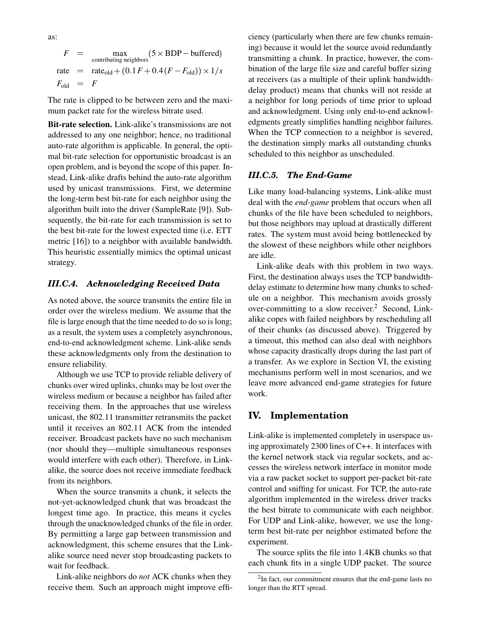as:

$$
F = \max_{\text{contributing neighbors}} (5 \times \text{BDP} - \text{buffered})
$$
  
rate = rate<sub>old</sub> + (0.1F + 0.4(F - F<sub>old</sub>)) × 1/s  

$$
F_{\text{old}} = F
$$

The rate is clipped to be between zero and the maximum packet rate for the wireless bitrate used.

Bit-rate selection. Link-alike's transmissions are not addressed to any one neighbor; hence, no traditional auto-rate algorithm is applicable. In general, the optimal bit-rate selection for opportunistic broadcast is an open problem, and is beyond the scope of this paper. Instead, Link-alike drafts behind the auto-rate algorithm used by unicast transmissions. First, we determine the long-term best bit-rate for each neighbor using the algorithm built into the driver (SampleRate [\[9\]](#page-13-25)). Subsequently, the bit-rate for each transmission is set to the best bit-rate for the lowest expected time (i.e. ETT metric [\[16\]](#page-13-26)) to a neighbor with available bandwidth. This heuristic essentially mimics the optimal unicast strategy.

# <span id="page-6-1"></span>*III.C.4. Acknowledging Received Data*

As noted above, the source transmits the entire file in order over the wireless medium. We assume that the file is large enough that the time needed to do so is long; as a result, the system uses a completely asynchronous, end-to-end acknowledgment scheme. Link-alike sends these acknowledgments only from the destination to ensure reliability.

Although we use TCP to provide reliable delivery of chunks over wired uplinks, chunks may be lost over the wireless medium or because a neighbor has failed after receiving them. In the approaches that use wireless unicast, the 802.11 transmitter retransmits the packet until it receives an 802.11 ACK from the intended receiver. Broadcast packets have no such mechanism (nor should they—multiple simultaneous responses would interfere with each other). Therefore, in Linkalike, the source does not receive immediate feedback from its neighbors.

When the source transmits a chunk, it selects the not-yet-acknowledged chunk that was broadcast the longest time ago. In practice, this means it cycles through the unacknowledged chunks of the file in order. By permitting a large gap between transmission and acknowledgment, this scheme ensures that the Linkalike source need never stop broadcasting packets to wait for feedback.

Link-alike neighbors do *not* ACK chunks when they receive them. Such an approach might improve efficiency (particularly when there are few chunks remaining) because it would let the source avoid redundantly transmitting a chunk. In practice, however, the combination of the large file size and careful buffer sizing at receivers (as a multiple of their uplink bandwidthdelay product) means that chunks will not reside at a neighbor for long periods of time prior to upload and acknowledgment. Using only end-to-end acknowledgments greatly simplifies handling neighbor failures. When the TCP connection to a neighbor is severed, the destination simply marks all outstanding chunks scheduled to this neighbor as unscheduled.

### *III.C.5. The End-Game*

Like many load-balancing systems, Link-alike must deal with the *end-game* problem that occurs when all chunks of the file have been scheduled to neighbors, but those neighbors may upload at drastically different rates. The system must avoid being bottlenecked by the slowest of these neighbors while other neighbors are idle.

Link-alike deals with this problem in two ways. First, the destination always uses the TCP bandwidthdelay estimate to determine how many chunks to schedule on a neighbor. This mechanism avoids grossly over-committing to a slow receiver. $2$  Second, Linkalike copes with failed neighbors by rescheduling all of their chunks (as discussed above). Triggered by a timeout, this method can also deal with neighbors whose capacity drastically drops during the last part of a transfer. As we explore in Section [VI,](#page-9-0) the existing mechanisms perform well in most scenarios, and we leave more advanced end-game strategies for future work.

# <span id="page-6-0"></span>**IV. Implementation**

Link-alike is implemented completely in userspace using approximately 2300 lines of C++. It interfaces with the kernel network stack via regular sockets, and accesses the wireless network interface in monitor mode via a raw packet socket to support per-packet bit-rate control and sniffing for unicast. For TCP, the auto-rate algorithm implemented in the wireless driver tracks the best bitrate to communicate with each neighbor. For UDP and Link-alike, however, we use the longterm best bit-rate per neighbor estimated before the experiment.

The source splits the file into 1.4KB chunks so that each chunk fits in a single UDP packet. The source

<span id="page-6-2"></span><sup>&</sup>lt;sup>2</sup>In fact, our commitment ensures that the end-game lasts no longer than the RTT spread.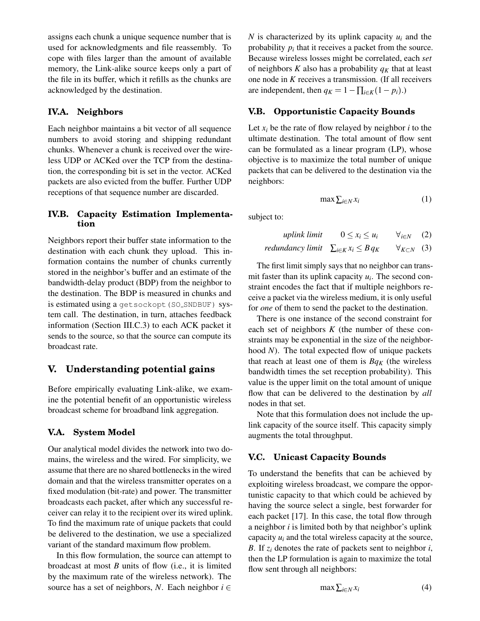assigns each chunk a unique sequence number that is used for acknowledgments and file reassembly. To cope with files larger than the amount of available memory, the Link-alike source keeps only a part of the file in its buffer, which it refills as the chunks are acknowledged by the destination.

# **IV.A. Neighbors**

Each neighbor maintains a bit vector of all sequence numbers to avoid storing and shipping redundant chunks. Whenever a chunk is received over the wireless UDP or ACKed over the TCP from the destination, the corresponding bit is set in the vector. ACKed packets are also evicted from the buffer. Further UDP receptions of that sequence number are discarded.

#### **IV.B. Capacity Estimation Implementation**

Neighbors report their buffer state information to the destination with each chunk they upload. This information contains the number of chunks currently stored in the neighbor's buffer and an estimate of the bandwidth-delay product (BDP) from the neighbor to the destination. The BDP is measured in chunks and is estimated using a getsockopt (SO\_SNDBUF) system call. The destination, in turn, attaches feedback information (Section [III.C.3\)](#page-5-0) to each ACK packet it sends to the source, so that the source can compute its broadcast rate.

# <span id="page-7-0"></span>**V. Understanding potential gains**

Before empirically evaluating Link-alike, we examine the potential benefit of an opportunistic wireless broadcast scheme for broadband link aggregation.

#### **V.A. System Model**

Our analytical model divides the network into two domains, the wireless and the wired. For simplicity, we assume that there are no shared bottlenecks in the wired domain and that the wireless transmitter operates on a fixed modulation (bit-rate) and power. The transmitter broadcasts each packet, after which any successful receiver can relay it to the recipient over its wired uplink. To find the maximum rate of unique packets that could be delivered to the destination, we use a specialized variant of the standard maximum flow problem.

In this flow formulation, the source can attempt to broadcast at most *B* units of flow (i.e., it is limited by the maximum rate of the wireless network). The source has a set of neighbors, *N*. Each neighbor  $i \in$ 

*N* is characterized by its uplink capacity  $u_i$  and the probability  $p_i$  that it receives a packet from the source. Because wireless losses might be correlated, each *set* of neighbors *K* also has a probability  $q_K$  that at least one node in *K* receives a transmission. (If all receivers are independent, then  $q_K = 1 - \prod_{i \in K} (1 - p_i)$ .)

# <span id="page-7-1"></span>**V.B. Opportunistic Capacity Bounds**

Let  $x_i$  be the rate of flow relayed by neighbor  $i$  to the ultimate destination. The total amount of flow sent can be formulated as a linear program (LP), whose objective is to maximize the total number of unique packets that can be delivered to the destination via the neighbors:

<span id="page-7-2"></span>
$$
\max \sum_{i \in N} x_i \tag{1}
$$

subject to:

*uplink limit* 
$$
0 \le x_i \le u_i
$$
  $\forall_{i \in N}$  (2)  
*redundancy limit*  $\sum_{i \in K} x_i \le B q_K$   $\forall_{K \subset N}$  (3)

The first limit simply says that no neighbor can transmit faster than its uplink capacity  $u_i$ . The second constraint encodes the fact that if multiple neighbors receive a packet via the wireless medium, it is only useful for *one* of them to send the packet to the destination.

There is one instance of the second constraint for each set of neighbors *K* (the number of these constraints may be exponential in the size of the neighborhood *N*). The total expected flow of unique packets that reach at least one of them is  $Bq<sub>K</sub>$  (the wireless bandwidth times the set reception probability). This value is the upper limit on the total amount of unique flow that can be delivered to the destination by *all* nodes in that set.

Note that this formulation does not include the uplink capacity of the source itself. This capacity simply augments the total throughput.

# **V.C. Unicast Capacity Bounds**

To understand the benefits that can be achieved by exploiting wireless broadcast, we compare the opportunistic capacity to that which could be achieved by having the source select a single, best forwarder for each packet [\[17\]](#page-13-16). In this case, the total flow through a neighbor *i* is limited both by that neighbor's uplink capacity  $u_i$  and the total wireless capacity at the source, *B*. If *z<sup>i</sup>* denotes the rate of packets sent to neighbor *i*, then the LP formulation is again to maximize the total flow sent through all neighbors:

<span id="page-7-3"></span>
$$
\max \sum_{i \in N} x_i \tag{4}
$$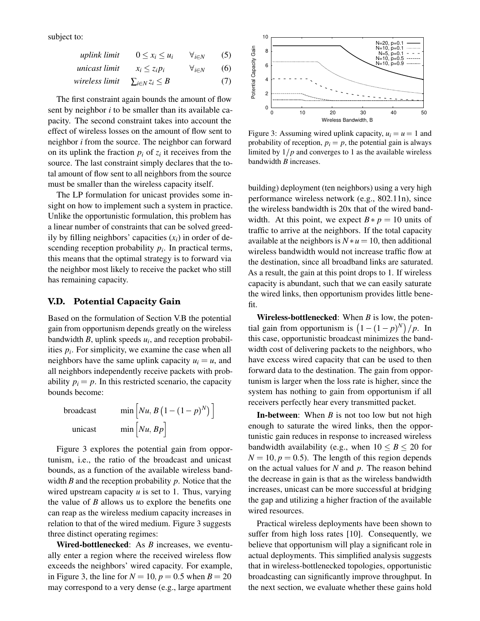subject to:

| uplink limit   | $0 \leq x_i \leq u_i$    | $\forall_{i\in N}$  | (5) |
|----------------|--------------------------|---------------------|-----|
| unicast limit  | $x_i \leq z_i p_i$       | $\forall_{i \in N}$ | (6) |
| wireless limit | $\sum_{i\in N}z_i\leq B$ |                     | (7) |

The first constraint again bounds the amount of flow sent by neighbor *i* to be smaller than its available capacity. The second constraint takes into account the effect of wireless losses on the amount of flow sent to neighbor *i* from the source. The neighbor can forward on its uplink the fraction  $p_i$  of  $z_i$  it receives from the source. The last constraint simply declares that the total amount of flow sent to all neighbors from the source must be smaller than the wireless capacity itself.

The LP formulation for unicast provides some insight on how to implement such a system in practice. Unlike the opportunistic formulation, this problem has a linear number of constraints that can be solved greedily by filling neighbors' capacities  $(x_i)$  in order of descending reception probability  $p_i$ . In practical terms, this means that the optimal strategy is to forward via the neighbor most likely to receive the packet who still has remaining capacity. sent by neighten it in the smalle than its available can<br>meatily meighton it of the smaller than its available can<br>meatily. The second constraint takes into account the<br>effect of wireless losses on the amount of flow sent

#### **V.D. Potential Capacity Gain**

Based on the formulation of Section [V.B](#page-7-1) the potential gain from opportunism depends greatly on the wireless bandwidth *B*, uplink speeds *u<sup>i</sup>* , and reception probabilities  $p_i$ . For simplicity, we examine the case when all neighbors have the same uplink capacity  $u_i = u$ , and all neighbors independently receive packets with probability  $p_i = p$ . In this restricted scenario, the capacity bounds become:

$$
\begin{array}{ll}\n\text{broadcast} & \min \left[ Nu, B \left( 1 - (1 - p)^N \right) \right] \\
\text{unicast} & \min \left[ Nu, Bp \right]\n\end{array}
$$

Figure [3](#page-8-0) explores the potential gain from opportunism, i.e., the ratio of the broadcast and unicast bounds, as a function of the available wireless bandwidth *B* and the reception probability *p*. Notice that the wired upstream capacity *u* is set to 1. Thus, varying the value of *B* allows us to explore the benefits one can reap as the wireless medium capacity increases in relation to that of the wired medium. Figure [3](#page-8-0) suggests three distinct operating regimes:

Wired-bottlenecked: As *B* increases, we eventually enter a region where the received wireless flow exceeds the neighbors' wired capacity. For example, in Figure [3,](#page-8-0) the line for  $N = 10$ ,  $p = 0.5$  when  $B = 20$ 



<span id="page-8-0"></span>Figure 3: Assuming wired uplink capacity,  $u_i = u = 1$  and probability of reception,  $p_i = p$ , the potential gain is always limited by  $1/p$  and converges to 1 as the available wireless bandwidth *B* increases.

building) deployment (ten neighbors) using a very high performance wireless network (e.g., 802.11n), since the wireless bandwidth is 20x that of the wired bandwidth. At this point, we expect  $B * p = 10$  units of traffic to arrive at the neighbors. If the total capacity available at the neighbors is  $N * u = 10$ , then additional wireless bandwidth would not increase traffic flow at the destination, since all broadband links are saturated. As a result, the gain at this point drops to 1. If wireless capacity is abundant, such that we can easily saturate the wired links, then opportunism provides little benefit.

Wireless-bottlenecked: When *B* is low, the potential gain from opportunism is  $(1 - (1 - p)^N)/p$ . In this case, opportunistic broadcast minimizes the bandwidth cost of delivering packets to the neighbors, who have excess wired capacity that can be used to then forward data to the destination. The gain from opportunism is larger when the loss rate is higher, since the system has nothing to gain from opportunism if all receivers perfectly hear every transmitted packet.

In-between: When *B* is not too low but not high enough to saturate the wired links, then the opportunistic gain reduces in response to increased wireless bandwidth availability (e.g., when  $10 \leq B \leq 20$  for  $N = 10, p = 0.5$ . The length of this region depends on the actual values for *N* and *p*. The reason behind the decrease in gain is that as the wireless bandwidth increases, unicast can be more successful at bridging the gap and utilizing a higher fraction of the available wired resources.

Practical wireless deployments have been shown to suffer from high loss rates [\[10\]](#page-13-22). Consequently, we believe that opportunism will play a significant role in actual deployments. This simplified analysis suggests that in wireless-bottlenecked topologies, opportunistic broadcasting can significantly improve throughput. In the next section, we evaluate whether these gains hold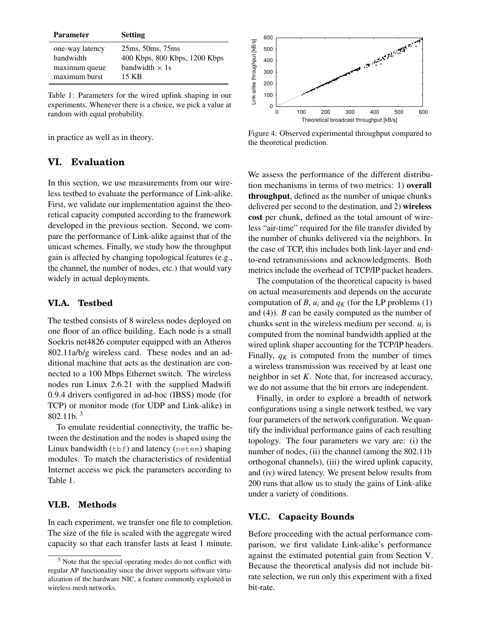| <b>Parameter</b> | <b>Setting</b>                |
|------------------|-------------------------------|
| one-way latency  | 25ms, 50ms, 75ms              |
| bandwidth        | 400 Kbps, 800 Kbps, 1200 Kbps |
| maximum queue    | bandwidth $\times$ 1s         |
| maximum burst    | 15 KB                         |

<span id="page-9-2"></span>Table 1: Parameters for the wired uplink shaping in our experiments. Whenever there is a choice, we pick a value at random with equal probability.

in practice as well as in theory.

# <span id="page-9-0"></span>**VI. Evaluation**

In this section, we use measurements from our wireless testbed to evaluate the performance of Link-alike. First, we validate our implementation against the theoretical capacity computed according to the framework developed in the previous section. Second, we compare the performance of Link-alike against that of the unicast schemes. Finally, we study how the throughput gain is affected by changing topological features (e.g., the channel, the number of nodes, etc.) that would vary widely in actual deployments. exprements. We measure there is a crose, we pick a value at  $\frac{1}{2}$ <br>
in practice as well as in theory.<br>
In practice as well as in theory.<br>
In practice as well as in theory.<br>
In practice as well as in theory.<br>
In this sec

### **VI.A. Testbed**

The testbed consists of 8 wireless nodes deployed on one floor of an office building. Each node is a small Soekris net4826 computer equipped with an Atheros 802.11a/b/g wireless card. These nodes and an additional machine that acts as the destination are connected to a 100 Mbps Ethernet switch. The wireless nodes run Linux 2.6.21 with the supplied Madwifi 0.9.4 drivers configured in ad-hoc (IBSS) mode (for TCP) or monitor mode (for UDP and Link-alike) in 802.11b $3$ 

To emulate residential connectivity, the traffic between the destination and the nodes is shaped using the Linux bandwidth  $(tbf)$  and latency (netem) shaping modules. To match the characteristics of residential Internet access we pick the parameters according to Table [1.](#page-9-2)

#### **VI.B. Methods**

In each experiment, we transfer one file to completion. The size of the file is scaled with the aggregate wired capacity so that each transfer lasts at least 1 minute.



<span id="page-9-3"></span>Figure 4: Observed experimental throughput compared to the theoretical prediction.

We assess the performance of the different distribution mechanisms in terms of two metrics: 1) overall throughput, defined as the number of unique chunks delivered per second to the destination, and 2) wireless cost per chunk, defined as the total amount of wireless "air-time" required for the file transfer divided by the number of chunks delivered via the neighbors. In the case of TCP, this includes both link-layer and endto-end retransmissions and acknowledgments. Both metrics include the overhead of TCP/IP packet headers.

The computation of the theoretical capacity is based on actual measurements and depends on the accurate computation of *B*,  $u_i$  and  $q_K$  (for the LP problems [\(1\)](#page-7-2) and [\(4\)](#page-7-3)). *B* can be easily computed as the number of chunks sent in the wireless medium per second.  $u_i$  is computed from the nominal bandwidth applied at the wired uplink shaper accounting for the TCP/IP headers. Finally,  $q_K$  is computed from the number of times a wireless transmission was received by at least one neighbor in set *K*. Note that, for increased accuracy, we do not assume that the bit errors are independent.

Finally, in order to explore a breadth of network configurations using a single network testbed, we vary four parameters of the network configuration. We quantify the individual performance gains of each resulting topology. The four parameters we vary are: (i) the number of nodes, (ii) the channel (among the 802.11b) orthogonal channels), (iii) the wired uplink capacity, and (iv) wired latency. We present below results from 200 runs that allow us to study the gains of Link-alike under a variety of conditions.

#### **VI.C. Capacity Bounds**

Before proceeding with the actual performance comparison, we first validate Link-alike's performance against the estimated potential gain from Section [V.](#page-7-0) Because the theoretical analysis did not include bitrate selection, we run only this experiment with a fixed bit-rate.

<span id="page-9-1"></span> $3$  Note that the special operating modes do not conflict with regular AP functionality since the driver supports software virtualization of the hardware NIC, a feature commonly exploited in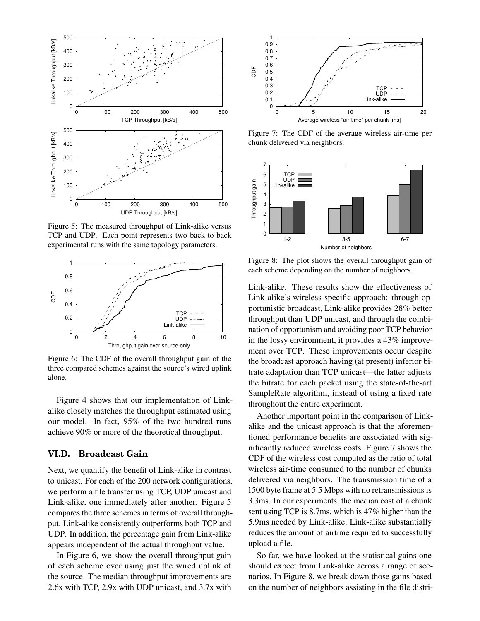

<span id="page-10-0"></span>Figure 5: The measured throughput of Link-alike versus TCP and UDP. Each point represents two back-to-back experimental runs with the same topology parameters.



<span id="page-10-1"></span>Figure 6: The CDF of the overall throughput gain of the three compared schemes against the source's wired uplink alone.

Figure [4](#page-9-3) shows that our implementation of Linkalike closely matches the throughput estimated using our model. In fact, 95% of the two hundred runs achieve 90% or more of the theoretical throughput.

### **VI.D. Broadcast Gain**

Next, we quantify the benefit of Link-alike in contrast to unicast. For each of the 200 network configurations, we perform a file transfer using TCP, UDP unicast and Link-alike, one immediately after another. Figure [5](#page-10-0) compares the three schemes in terms of overall throughput. Link-alike consistently outperforms both TCP and UDP. In addition, the percentage gain from Link-alike appears independent of the actual throughput value.

In Figure [6,](#page-10-1) we show the overall throughput gain of each scheme over using just the wired uplink of the source. The median throughput improvements are



<span id="page-10-2"></span>Figure 7: The CDF of the average wireless air-time per chunk delivered via neighbors.



<span id="page-10-3"></span>Figure 8: The plot shows the overall throughput gain of each scheme depending on the number of neighbors.

Link-alike. These results show the effectiveness of Link-alike's wireless-specific approach: through opportunistic broadcast, Link-alike provides 28% better throughput than UDP unicast, and through the combination of opportunism and avoiding poor TCP behavior in the lossy environment, it provides a 43% improvement over TCP. These improvements occur despite the broadcast approach having (at present) inferior bitrate adaptation than TCP unicast—the latter adjusts the bitrate for each packet using the state-of-the-art SampleRate algorithm, instead of using a fixed rate throughout the entire experiment.

Another important point in the comparison of Linkalike and the unicast approach is that the aforementioned performance benefits are associated with significantly reduced wireless costs. Figure [7](#page-10-2) shows the CDF of the wireless cost computed as the ratio of total wireless air-time consumed to the number of chunks delivered via neighbors. The transmission time of a 1500 byte frame at 5.5 Mbps with no retransmissions is 3.3ms. In our experiments, the median cost of a chunk sent using TCP is 8.7ms, which is 47% higher than the 5.9ms needed by Link-alike. Link-alike substantially reduces the amount of airtime required to successfully upload a file.

So far, we have looked at the statistical gains one should expect from Link-alike across a range of scenarios. In Figure [8,](#page-10-3) we break down those gains based on the number of neighbors assisting in the file distri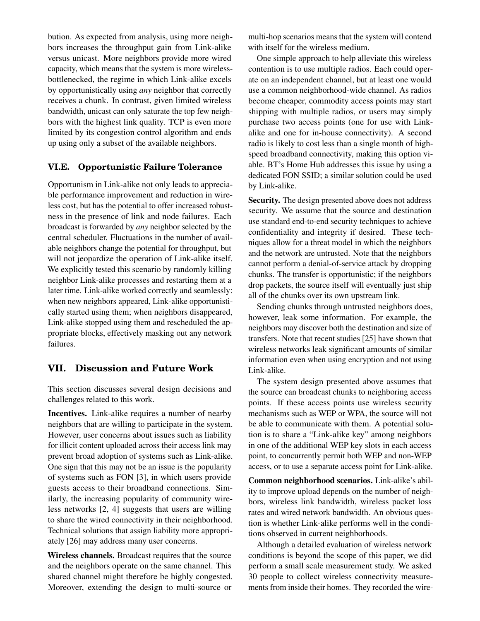bution. As expected from analysis, using more neighbors increases the throughput gain from Link-alike versus unicast. More neighbors provide more wired capacity, which means that the system is more wirelessbottlenecked, the regime in which Link-alike excels by opportunistically using *any* neighbor that correctly receives a chunk. In contrast, given limited wireless bandwidth, unicast can only saturate the top few neighbors with the highest link quality. TCP is even more limited by its congestion control algorithm and ends up using only a subset of the available neighbors.

# **VI.E. Opportunistic Failure Tolerance**

Opportunism in Link-alike not only leads to appreciable performance improvement and reduction in wireless cost, but has the potential to offer increased robustness in the presence of link and node failures. Each broadcast is forwarded by *any* neighbor selected by the central scheduler. Fluctuations in the number of available neighbors change the potential for throughput, but will not jeopardize the operation of Link-alike itself. We explicitly tested this scenario by randomly killing neighbor Link-alike processes and restarting them at a later time. Link-alike worked correctly and seamlessly: when new neighbors appeared, Link-alike opportunistically started using them; when neighbors disappeared, Link-alike stopped using them and rescheduled the appropriate blocks, effectively masking out any network failures.

# <span id="page-11-0"></span>**VII. Discussion and Future Work**

This section discusses several design decisions and challenges related to this work.

Incentives. Link-alike requires a number of nearby neighbors that are willing to participate in the system. However, user concerns about issues such as liability for illicit content uploaded across their access link may prevent broad adoption of systems such as Link-alike. One sign that this may not be an issue is the popularity of systems such as FON [\[3\]](#page-13-2), in which users provide guests access to their broadband connections. Similarly, the increasing popularity of community wireless networks [\[2,](#page-13-7) [4\]](#page-13-6) suggests that users are willing to share the wired connectivity in their neighborhood. Technical solutions that assign liability more appropriately [\[26\]](#page-13-27) may address many user concerns.

Wireless channels. Broadcast requires that the source and the neighbors operate on the same channel. This shared channel might therefore be highly congested. Moreover, extending the design to multi-source or

multi-hop scenarios means that the system will contend with itself for the wireless medium.

One simple approach to help alleviate this wireless contention is to use multiple radios. Each could operate on an independent channel, but at least one would use a common neighborhood-wide channel. As radios become cheaper, commodity access points may start shipping with multiple radios, or users may simply purchase two access points (one for use with Linkalike and one for in-house connectivity). A second radio is likely to cost less than a single month of highspeed broadband connectivity, making this option viable. BT's Home Hub addresses this issue by using a dedicated FON SSID; a similar solution could be used by Link-alike.

Security. The design presented above does not address security. We assume that the source and destination use standard end-to-end security techniques to achieve confidentiality and integrity if desired. These techniques allow for a threat model in which the neighbors and the network are untrusted. Note that the neighbors cannot perform a denial-of-service attack by dropping chunks. The transfer is opportunistic; if the neighbors drop packets, the source itself will eventually just ship all of the chunks over its own upstream link.

Sending chunks through untrusted neighbors does, however, leak some information. For example, the neighbors may discover both the destination and size of transfers. Note that recent studies [\[25\]](#page-13-28) have shown that wireless networks leak significant amounts of similar information even when using encryption and not using Link-alike.

The system design presented above assumes that the source can broadcast chunks to neighboring access points. If these access points use wireless security mechanisms such as WEP or WPA, the source will not be able to communicate with them. A potential solution is to share a "Link-alike key" among neighbors in one of the additional WEP key slots in each access point, to concurrently permit both WEP and non-WEP access, or to use a separate access point for Link-alike.

Common neighborhood scenarios. Link-alike's ability to improve upload depends on the number of neighbors, wireless link bandwidth, wireless packet loss rates and wired network bandwidth. An obvious question is whether Link-alike performs well in the conditions observed in current neighborhoods.

Although a detailed evaluation of wireless network conditions is beyond the scope of this paper, we did perform a small scale measurement study. We asked 30 people to collect wireless connectivity measurements from inside their homes. They recorded the wire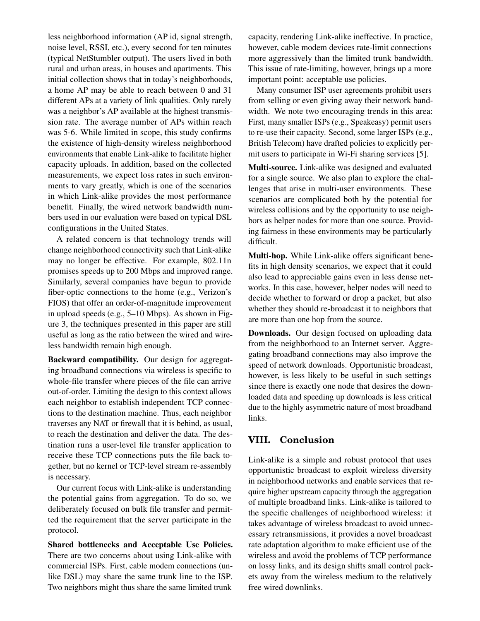less neighborhood information (AP id, signal strength, noise level, RSSI, etc.), every second for ten minutes (typical NetStumbler output). The users lived in both rural and urban areas, in houses and apartments. This initial collection shows that in today's neighborhoods, a home AP may be able to reach between 0 and 31 different APs at a variety of link qualities. Only rarely was a neighbor's AP available at the highest transmission rate. The average number of APs within reach was 5-6. While limited in scope, this study confirms the existence of high-density wireless neighborhood environments that enable Link-alike to facilitate higher capacity uploads. In addition, based on the collected measurements, we expect loss rates in such environments to vary greatly, which is one of the scenarios in which Link-alike provides the most performance benefit. Finally, the wired network bandwidth numbers used in our evaluation were based on typical DSL configurations in the United States.

A related concern is that technology trends will change neighborhood connectivity such that Link-alike may no longer be effective. For example, 802.11n promises speeds up to 200 Mbps and improved range. Similarly, several companies have begun to provide fiber-optic connections to the home (e.g., Verizon's FIOS) that offer an order-of-magnitude improvement in upload speeds (e.g., 5–10 Mbps). As shown in Figure [3,](#page-8-0) the techniques presented in this paper are still useful as long as the ratio between the wired and wireless bandwidth remain high enough.

Backward compatibility. Our design for aggregating broadband connections via wireless is specific to whole-file transfer where pieces of the file can arrive out-of-order. Limiting the design to this context allows each neighbor to establish independent TCP connections to the destination machine. Thus, each neighbor traverses any NAT or firewall that it is behind, as usual, to reach the destination and deliver the data. The destination runs a user-level file transfer application to receive these TCP connections puts the file back together, but no kernel or TCP-level stream re-assembly is necessary.

Our current focus with Link-alike is understanding the potential gains from aggregation. To do so, we deliberately focused on bulk file transfer and permitted the requirement that the server participate in the protocol.

Shared bottlenecks and Acceptable Use Policies. There are two concerns about using Link-alike with commercial ISPs. First, cable modem connections (unlike DSL) may share the same trunk line to the ISP. Two neighbors might thus share the same limited trunk capacity, rendering Link-alike ineffective. In practice, however, cable modem devices rate-limit connections more aggressively than the limited trunk bandwidth. This issue of rate-limiting, however, brings up a more important point: acceptable use policies.

Many consumer ISP user agreements prohibit users from selling or even giving away their network bandwidth. We note two encouraging trends in this area: First, many smaller ISPs (e.g., Speakeasy) permit users to re-use their capacity. Second, some larger ISPs (e.g., British Telecom) have drafted policies to explicitly permit users to participate in Wi-Fi sharing services [\[5\]](#page-13-4).

Multi-source. Link-alike was designed and evaluated for a single source. We also plan to explore the challenges that arise in multi-user environments. These scenarios are complicated both by the potential for wireless collisions and by the opportunity to use neighbors as helper nodes for more than one source. Providing fairness in these environments may be particularly difficult.

Multi-hop. While Link-alike offers significant benefits in high density scenarios, we expect that it could also lead to appreciable gains even in less dense networks. In this case, however, helper nodes will need to decide whether to forward or drop a packet, but also whether they should re-broadcast it to neighbors that are more than one hop from the source.

Downloads. Our design focused on uploading data from the neighborhood to an Internet server. Aggregating broadband connections may also improve the speed of network downloads. Opportunistic broadcast, however, is less likely to be useful in such settings since there is exactly one node that desires the downloaded data and speeding up downloads is less critical due to the highly asymmetric nature of most broadband links.

# **VIII. Conclusion**

Link-alike is a simple and robust protocol that uses opportunistic broadcast to exploit wireless diversity in neighborhood networks and enable services that require higher upstream capacity through the aggregation of multiple broadband links. Link-alike is tailored to the specific challenges of neighborhood wireless: it takes advantage of wireless broadcast to avoid unnecessary retransmissions, it provides a novel broadcast rate adaptation algorithm to make efficient use of the wireless and avoid the problems of TCP performance on lossy links, and its design shifts small control packets away from the wireless medium to the relatively free wired downlinks.